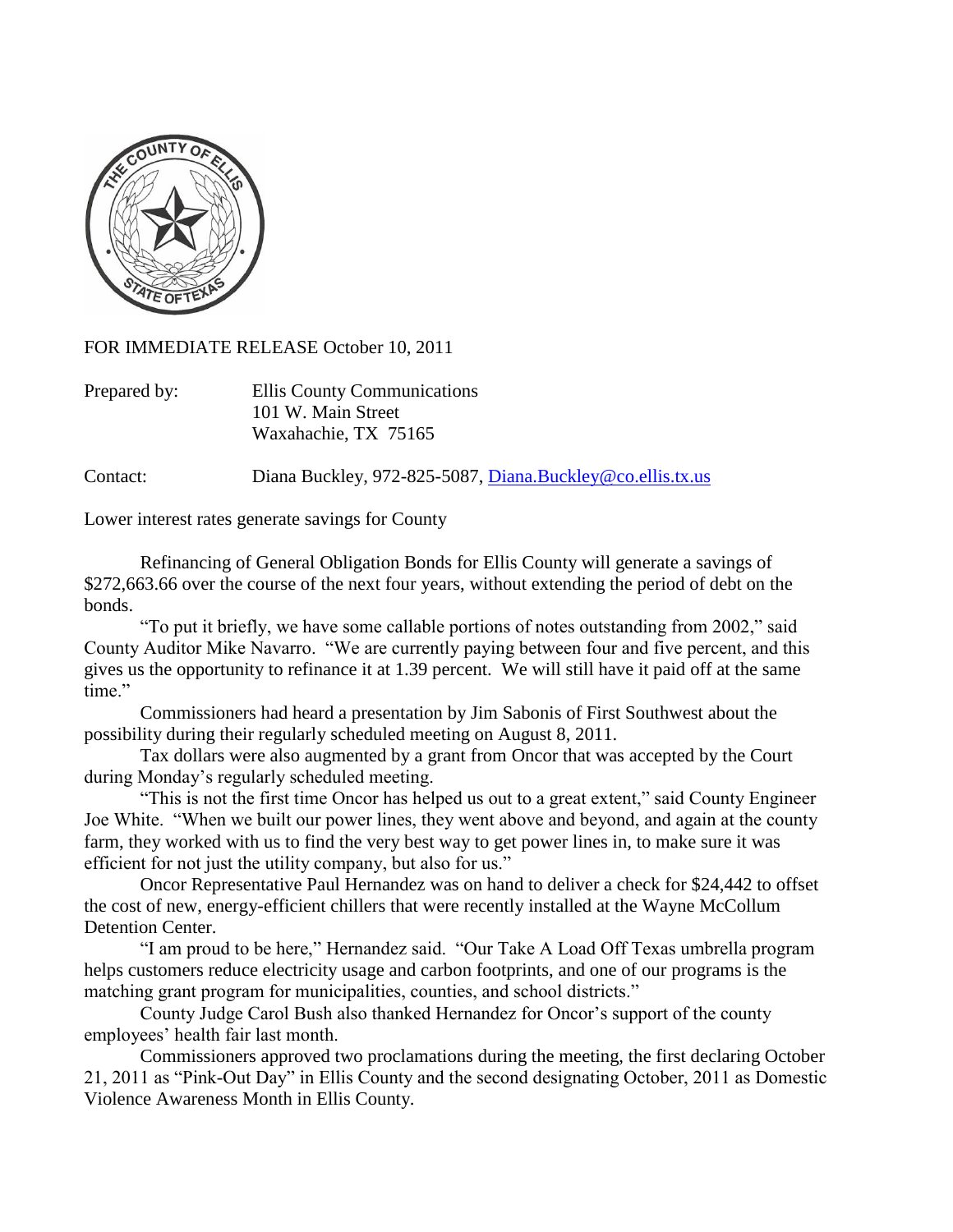

FOR IMMEDIATE RELEASE October 10, 2011

| Prepared by: | Ellis County Communications |
|--------------|-----------------------------|
|              | 101 W. Main Street          |
|              | Waxahachie, TX 75165        |

Contact: Diana Buckley, 972-825-5087, [Diana.Buckley@co.ellis.tx.us](mailto:Diana.Buckley@co.ellis.tx.us)

Lower interest rates generate savings for County

Refinancing of General Obligation Bonds for Ellis County will generate a savings of \$272,663.66 over the course of the next four years, without extending the period of debt on the bonds.

"To put it briefly, we have some callable portions of notes outstanding from 2002," said County Auditor Mike Navarro. "We are currently paying between four and five percent, and this gives us the opportunity to refinance it at 1.39 percent. We will still have it paid off at the same time."

Commissioners had heard a presentation by Jim Sabonis of First Southwest about the possibility during their regularly scheduled meeting on August 8, 2011.

Tax dollars were also augmented by a grant from Oncor that was accepted by the Court during Monday's regularly scheduled meeting.

"This is not the first time Oncor has helped us out to a great extent," said County Engineer Joe White. "When we built our power lines, they went above and beyond, and again at the county farm, they worked with us to find the very best way to get power lines in, to make sure it was efficient for not just the utility company, but also for us."

Oncor Representative Paul Hernandez was on hand to deliver a check for \$24,442 to offset the cost of new, energy-efficient chillers that were recently installed at the Wayne McCollum Detention Center.

"I am proud to be here," Hernandez said. "Our Take A Load Off Texas umbrella program helps customers reduce electricity usage and carbon footprints, and one of our programs is the matching grant program for municipalities, counties, and school districts."

County Judge Carol Bush also thanked Hernandez for Oncor's support of the county employees' health fair last month.

Commissioners approved two proclamations during the meeting, the first declaring October 21, 2011 as "Pink-Out Day" in Ellis County and the second designating October, 2011 as Domestic Violence Awareness Month in Ellis County.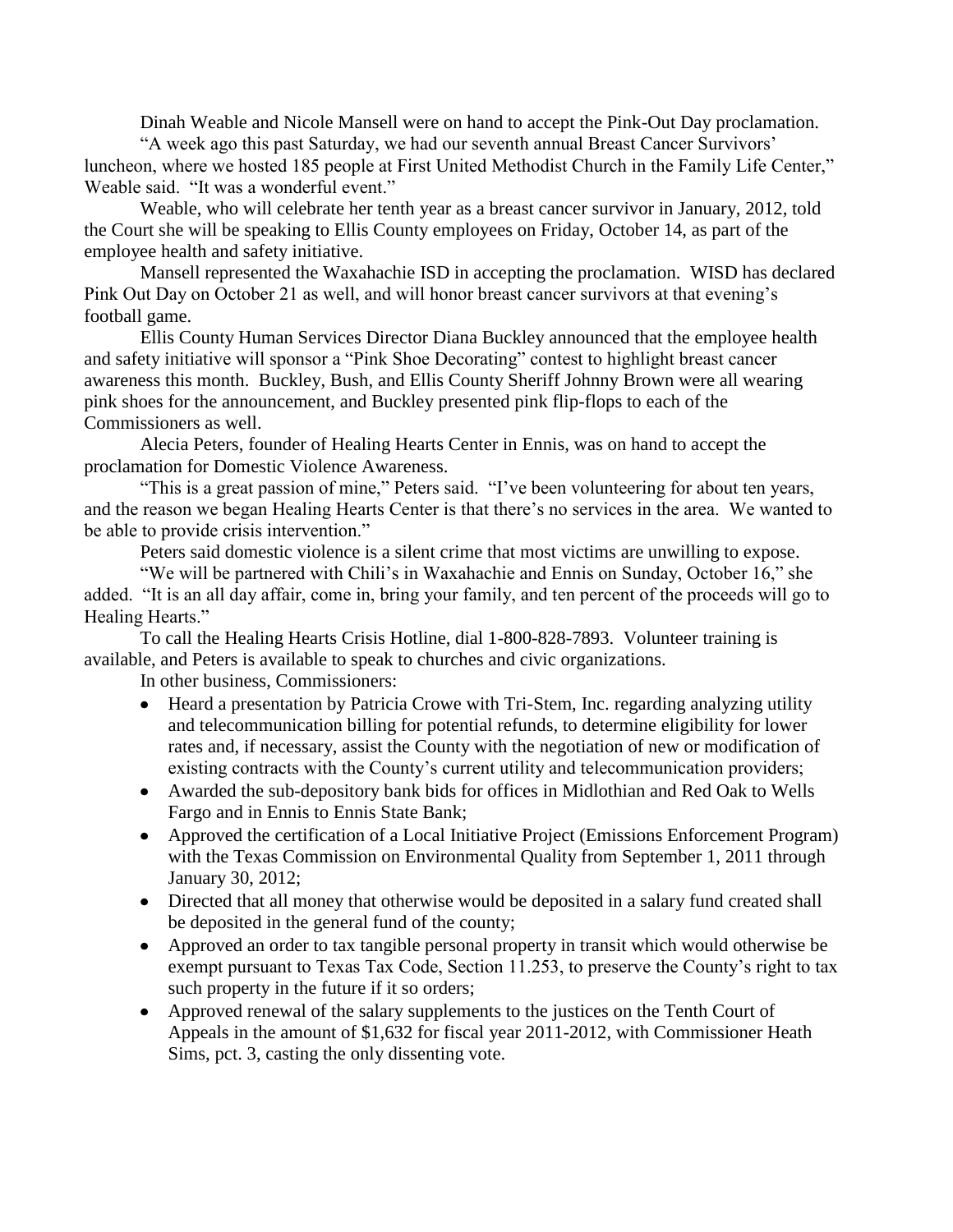Dinah Weable and Nicole Mansell were on hand to accept the Pink-Out Day proclamation.

"A week ago this past Saturday, we had our seventh annual Breast Cancer Survivors' luncheon, where we hosted 185 people at First United Methodist Church in the Family Life Center," Weable said. "It was a wonderful event."

Weable, who will celebrate her tenth year as a breast cancer survivor in January, 2012, told the Court she will be speaking to Ellis County employees on Friday, October 14, as part of the employee health and safety initiative.

Mansell represented the Waxahachie ISD in accepting the proclamation. WISD has declared Pink Out Day on October 21 as well, and will honor breast cancer survivors at that evening's football game.

Ellis County Human Services Director Diana Buckley announced that the employee health and safety initiative will sponsor a "Pink Shoe Decorating" contest to highlight breast cancer awareness this month. Buckley, Bush, and Ellis County Sheriff Johnny Brown were all wearing pink shoes for the announcement, and Buckley presented pink flip-flops to each of the Commissioners as well.

Alecia Peters, founder of Healing Hearts Center in Ennis, was on hand to accept the proclamation for Domestic Violence Awareness.

"This is a great passion of mine," Peters said. "I've been volunteering for about ten years, and the reason we began Healing Hearts Center is that there's no services in the area. We wanted to be able to provide crisis intervention."

Peters said domestic violence is a silent crime that most victims are unwilling to expose.

"We will be partnered with Chili's in Waxahachie and Ennis on Sunday, October 16," she added. "It is an all day affair, come in, bring your family, and ten percent of the proceeds will go to Healing Hearts."

To call the Healing Hearts Crisis Hotline, dial 1-800-828-7893. Volunteer training is available, and Peters is available to speak to churches and civic organizations.

In other business, Commissioners:

- Heard a presentation by Patricia Crowe with Tri-Stem, Inc. regarding analyzing utility  $\bullet$ and telecommunication billing for potential refunds, to determine eligibility for lower rates and, if necessary, assist the County with the negotiation of new or modification of existing contracts with the County's current utility and telecommunication providers;
- Awarded the sub-depository bank bids for offices in Midlothian and Red Oak to Wells Fargo and in Ennis to Ennis State Bank;
- Approved the certification of a Local Initiative Project (Emissions Enforcement Program) with the Texas Commission on Environmental Quality from September 1, 2011 through January 30, 2012;
- Directed that all money that otherwise would be deposited in a salary fund created shall be deposited in the general fund of the county;
- Approved an order to tax tangible personal property in transit which would otherwise be exempt pursuant to Texas Tax Code, Section 11.253, to preserve the County's right to tax such property in the future if it so orders;
- Approved renewal of the salary supplements to the justices on the Tenth Court of Appeals in the amount of \$1,632 for fiscal year 2011-2012, with Commissioner Heath Sims, pct. 3, casting the only dissenting vote.